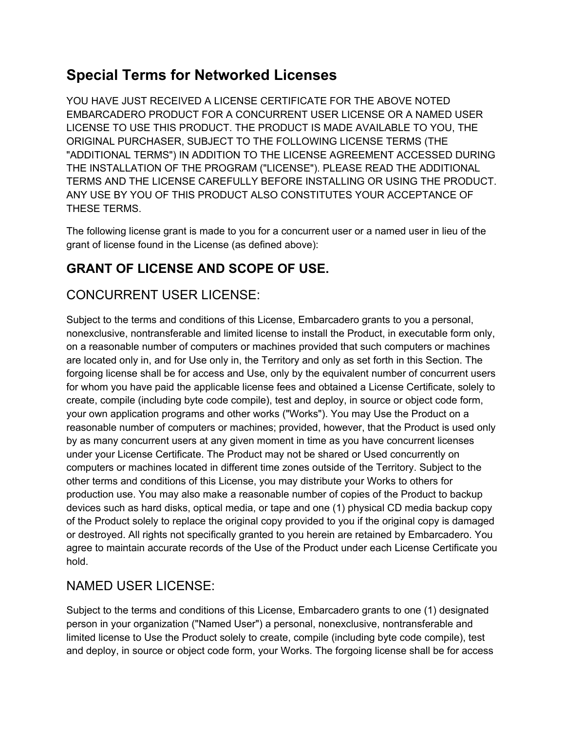# **Special Terms for Networked Licenses**

YOU HAVE JUST RECEIVED A LICENSE CERTIFICATE FOR THE ABOVE NOTED EMBARCADERO PRODUCT FOR A CONCURRENT USER LICENSE OR A NAMED USER LICENSE TO USE THIS PRODUCT. THE PRODUCT IS MADE AVAILABLE TO YOU, THE ORIGINAL PURCHASER, SUBJECT TO THE FOLLOWING LICENSE TERMS (THE "ADDITIONAL TERMS") IN ADDITION TO THE LICENSE AGREEMENT ACCESSED DURING THE INSTALLATION OF THE PROGRAM ("LICENSE"). PLEASE READ THE ADDITIONAL TERMS AND THE LICENSE CAREFULLY BEFORE INSTALLING OR USING THE PRODUCT. ANY USE BY YOU OF THIS PRODUCT ALSO CONSTITUTES YOUR ACCEPTANCE OF THESE TERMS.

The following license grant is made to you for a concurrent user or a named user in lieu of the grant of license found in the License (as defined above):

## **GRANT OF LICENSE AND SCOPE OF USE.**

### CONCURRENT USER LICENSE:

Subject to the terms and conditions of this License, Embarcadero grants to you a personal, nonexclusive, nontransferable and limited license to install the Product, in executable form only, on a reasonable number of computers or machines provided that such computers or machines are located only in, and for Use only in, the Territory and only as set forth in this Section. The forgoing license shall be for access and Use, only by the equivalent number of concurrent users for whom you have paid the applicable license fees and obtained a License Certificate, solely to create, compile (including byte code compile), test and deploy, in source or object code form, your own application programs and other works ("Works"). You may Use the Product on a reasonable number of computers or machines; provided, however, that the Product is used only by as many concurrent users at any given moment in time as you have concurrent licenses under your License Certificate. The Product may not be shared or Used concurrently on computers or machines located in different time zones outside of the Territory. Subject to the other terms and conditions of this License, you may distribute your Works to others for production use. You may also make a reasonable number of copies of the Product to backup devices such as hard disks, optical media, or tape and one (1) physical CD media backup copy of the Product solely to replace the original copy provided to you if the original copy is damaged or destroyed. All rights not specifically granted to you herein are retained by Embarcadero. You agree to maintain accurate records of the Use of the Product under each License Certificate you hold.

### NAMED USER LICENSE:

Subject to the terms and conditions of this License, Embarcadero grants to one (1) designated person in your organization ("Named User") a personal, nonexclusive, nontransferable and limited license to Use the Product solely to create, compile (including byte code compile), test and deploy, in source or object code form, your Works. The forgoing license shall be for access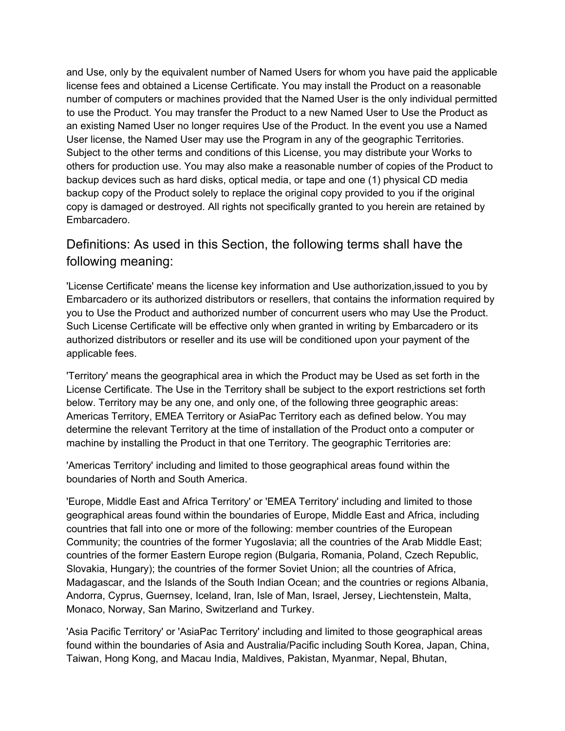and Use, only by the equivalent number of Named Users for whom you have paid the applicable license fees and obtained a License Certificate. You may install the Product on a reasonable number of computers or machines provided that the Named User is the only individual permitted to use the Product. You may transfer the Product to a new Named User to Use the Product as an existing Named User no longer requires Use of the Product. In the event you use a Named User license, the Named User may use the Program in any of the geographic Territories. Subject to the other terms and conditions of this License, you may distribute your Works to others for production use. You may also make a reasonable number of copies of the Product to backup devices such as hard disks, optical media, or tape and one (1) physical CD media backup copy of the Product solely to replace the original copy provided to you if the original copy is damaged or destroyed. All rights not specifically granted to you herein are retained by Embarcadero.

### Definitions: As used in this Section, the following terms shall have the following meaning:

'License Certificate' means the license key information and Use authorization,issued to you by Embarcadero or its authorized distributors or resellers, that contains the information required by you to Use the Product and authorized number of concurrent users who may Use the Product. Such License Certificate will be effective only when granted in writing by Embarcadero or its authorized distributors or reseller and its use will be conditioned upon your payment of the applicable fees.

'Territory' means the geographical area in which the Product may be Used as set forth in the License Certificate. The Use in the Territory shall be subject to the export restrictions set forth below. Territory may be any one, and only one, of the following three geographic areas: Americas Territory, EMEA Territory or AsiaPac Territory each as defined below. You may determine the relevant Territory at the time of installation of the Product onto a computer or machine by installing the Product in that one Territory. The geographic Territories are:

'Americas Territory' including and limited to those geographical areas found within the boundaries of North and South America.

'Europe, Middle East and Africa Territory' or 'EMEA Territory' including and limited to those geographical areas found within the boundaries of Europe, Middle East and Africa, including countries that fall into one or more of the following: member countries of the European Community; the countries of the former Yugoslavia; all the countries of the Arab Middle East; countries of the former Eastern Europe region (Bulgaria, Romania, Poland, Czech Republic, Slovakia, Hungary); the countries of the former Soviet Union; all the countries of Africa, Madagascar, and the Islands of the South Indian Ocean; and the countries or regions Albania, Andorra, Cyprus, Guernsey, Iceland, Iran, Isle of Man, Israel, Jersey, Liechtenstein, Malta, Monaco, Norway, San Marino, Switzerland and Turkey.

'Asia Pacific Territory' or 'AsiaPac Territory' including and limited to those geographical areas found within the boundaries of Asia and Australia/Pacific including South Korea, Japan, China, Taiwan, Hong Kong, and Macau India, Maldives, Pakistan, Myanmar, Nepal, Bhutan,